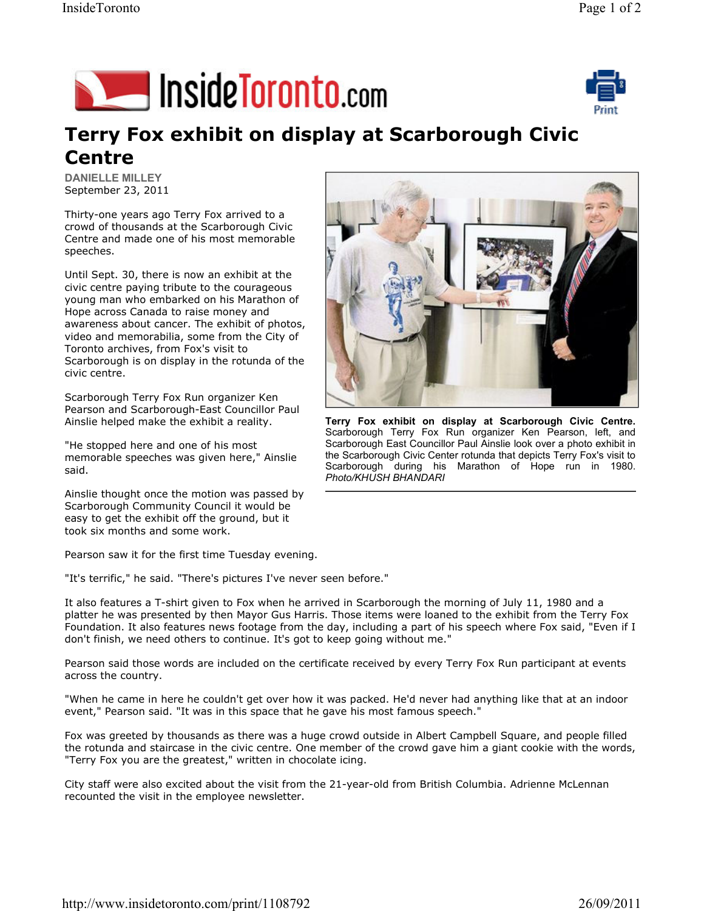



## Terry Fox exhibit on display at Scarborough Civic Centre

DANIELLE MILLEY September 23, 2011

Thirty-one years ago Terry Fox arrived to a crowd of thousands at the Scarborough Civic Centre and made one of his most memorable speeches.

Until Sept. 30, there is now an exhibit at the civic centre paying tribute to the courageous young man who embarked on his Marathon of Hope across Canada to raise money and awareness about cancer. The exhibit of photos, video and memorabilia, some from the City of Toronto archives, from Fox's visit to Scarborough is on display in the rotunda of the civic centre.

Scarborough Terry Fox Run organizer Ken Pearson and Scarborough-East Councillor Paul Ainslie helped make the exhibit a reality.

"He stopped here and one of his most memorable speeches was given here," Ainslie said.

Ainslie thought once the motion was passed by Scarborough Community Council it would be easy to get the exhibit off the ground, but it took six months and some work.

Pearson saw it for the first time Tuesday evening.

"It's terrific," he said. "There's pictures I've never seen before."

It also features a T-shirt given to Fox when he arrived in Scarborough the morning of July 11, 1980 and a platter he was presented by then Mayor Gus Harris. Those items were loaned to the exhibit from the Terry Fox Foundation. It also features news footage from the day, including a part of his speech where Fox said, "Even if I don't finish, we need others to continue. It's got to keep going without me."

Pearson said those words are included on the certificate received by every Terry Fox Run participant at events across the country.

"When he came in here he couldn't get over how it was packed. He'd never had anything like that at an indoor event," Pearson said. "It was in this space that he gave his most famous speech."

Fox was greeted by thousands as there was a huge crowd outside in Albert Campbell Square, and people filled the rotunda and staircase in the civic centre. One member of the crowd gave him a giant cookie with the words, "Terry Fox you are the greatest," written in chocolate icing.

City staff were also excited about the visit from the 21-year-old from British Columbia. Adrienne McLennan recounted the visit in the employee newsletter.



Terry Fox exhibit on display at Scarborough Civic Centre. Scarborough Terry Fox Run organizer Ken Pearson, left, and Scarborough East Councillor Paul Ainslie look over a photo exhibit in the Scarborough Civic Center rotunda that depicts Terry Fox's visit to Scarborough during his Marathon of Hope run in 1980. Photo/KHUSH BHANDARI